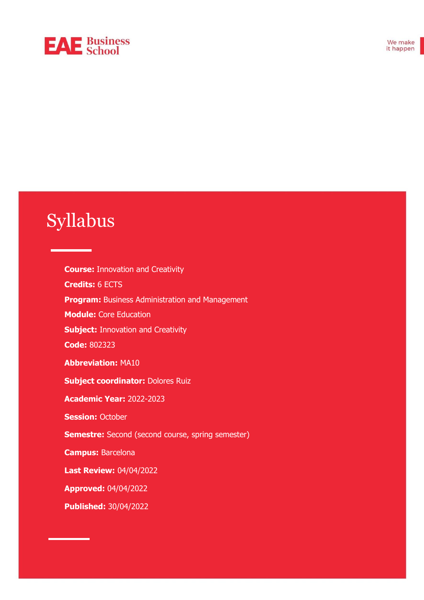# **EAE** Business

# Syllabus

**Course:** Innovation and Creativity **Credits:** 6 ECTS **Program:** Business Administration and Management **Module:** Core Education **Subject: Innovation and Creativity Code:** 802323 **Abbreviation:** MA10 **Subject coordinator:** Dolores Ruiz **Academic Year:** 2022-2023 **Session: October Semestre:** Second (second course, spring semester) **Campus:** Barcelona **Last Review:** 04/04/2022 **Approved:** 04/04/2022 **Published:** 30/04/2022

171015320\_101, 171015320\_102 ♣ Abbreviation: DCI ♣ Professor in charge: Josep María Galí ♣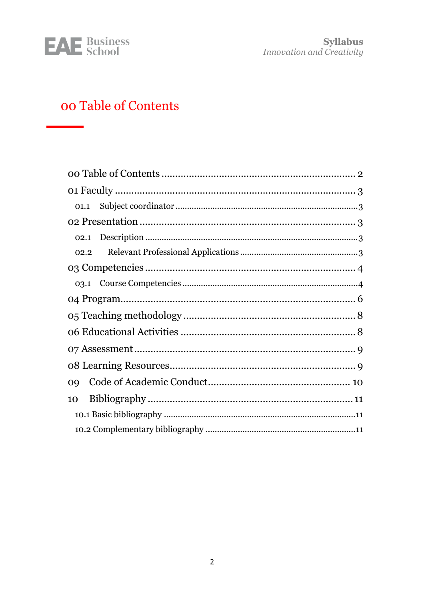

Syllabus<br>Innovation and Creativity

# <span id="page-1-0"></span>oo Table of Contents

| 01.1      |  |  |  |
|-----------|--|--|--|
|           |  |  |  |
|           |  |  |  |
| 02.2      |  |  |  |
|           |  |  |  |
|           |  |  |  |
|           |  |  |  |
|           |  |  |  |
|           |  |  |  |
|           |  |  |  |
|           |  |  |  |
| <b>OQ</b> |  |  |  |
| 10        |  |  |  |
|           |  |  |  |
|           |  |  |  |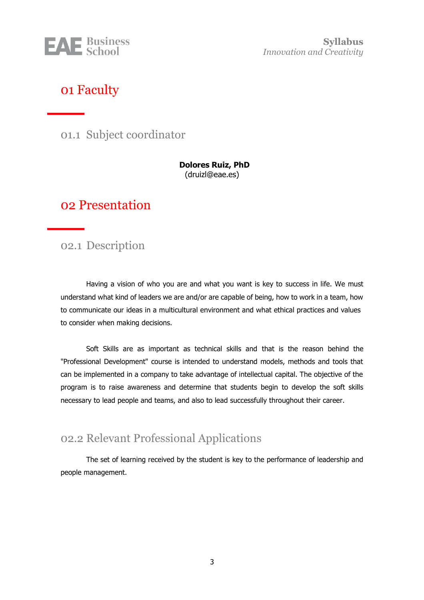

**Syllabus** *Innovation and Creativity*

## <span id="page-2-0"></span>01 Faculty

<span id="page-2-1"></span>01.1 Subject coordinator

**Dolores Ruiz, PhD** (druizl@eae.es)

### <span id="page-2-2"></span>02 Presentation

<span id="page-2-3"></span>02.1 Description

Having a vision of who you are and what you want is key to success in life. We must understand what kind of leaders we are and/or are capable of being, how to work in a team, how to communicate our ideas in a multicultural environment and what ethical practices and values to consider when making decisions.

Soft Skills are as important as technical skills and that is the reason behind the "Professional Development" course is intended to understand models, methods and tools that can be implemented in a company to take advantage of intellectual capital. The objective of the program is to raise awareness and determine that students begin to develop the soft skills necessary to lead people and teams, and also to lead successfully throughout their career.

### <span id="page-2-4"></span>02.2 Relevant Professional Applications

The set of learning received by the student is key to the performance of leadership and people management.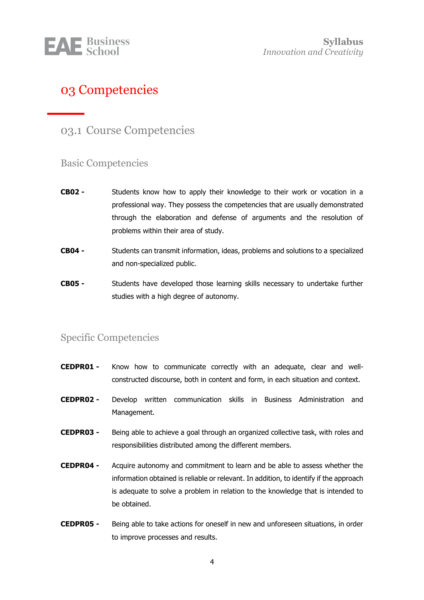

## <span id="page-3-0"></span>03 Competencies

### <span id="page-3-1"></span>03.1 Course Competencies

#### Basic Competencies

- **CB02 -** Students know how to apply their knowledge to their work or vocation in a professional way. They possess the competencies that are usually demonstrated through the elaboration and defense of arguments and the resolution of problems within their area of study.
- **CB04 -** Students can transmit information, ideas, problems and solutions to a specialized and non-specialized public.
- **CB05 -** Students have developed those learning skills necessary to undertake further studies with a high degree of autonomy.

#### Specific Competencies

- **CEDPR01 -** Know how to communicate correctly with an adequate, clear and wellconstructed discourse, both in content and form, in each situation and context.
- **CEDPR02 -** Develop written communication skills in Business Administration and Management.
- **CEDPR03 -** Being able to achieve a goal through an organized collective task, with roles and responsibilities distributed among the different members.
- **CEDPR04 -** Acquire autonomy and commitment to learn and be able to assess whether the information obtained is reliable or relevant. In addition, to identify if the approach is adequate to solve a problem in relation to the knowledge that is intended to be obtained.
- **CEDPR05 -** Being able to take actions for oneself in new and unforeseen situations, in order to improve processes and results.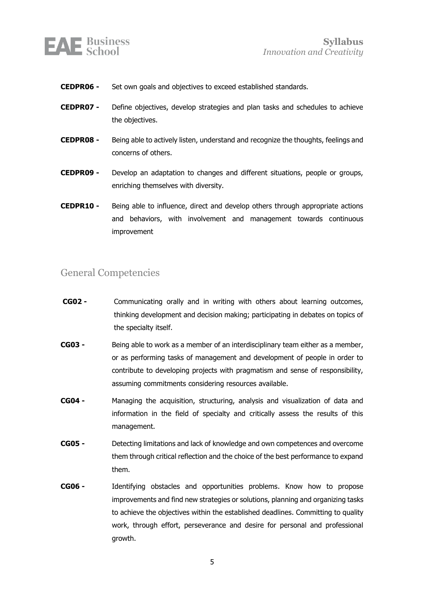

- **CEDPR06 -** Set own goals and objectives to exceed established standards.
- **CEDPR07 -** Define objectives, develop strategies and plan tasks and schedules to achieve the objectives.
- **CEDPR08 -** Being able to actively listen, understand and recognize the thoughts, feelings and concerns of others.
- **CEDPR09 -** Develop an adaptation to changes and different situations, people or groups, enriching themselves with diversity.
- **CEDPR10 -** Being able to influence, direct and develop others through appropriate actions and behaviors, with involvement and management towards continuous improvement

#### General Competencies

- **CG02 -** Communicating orally and in writing with others about learning outcomes, thinking development and decision making; participating in debates on topics of the specialty itself.
- **CG03 -** Being able to work as a member of an interdisciplinary team either as a member, or as performing tasks of management and development of people in order to contribute to developing projects with pragmatism and sense of responsibility, assuming commitments considering resources available.
- **CG04 -** Managing the acquisition, structuring, analysis and visualization of data and information in the field of specialty and critically assess the results of this management.
- **CG05 -** Detecting limitations and lack of knowledge and own competences and overcome them through critical reflection and the choice of the best performance to expand them.
- **CG06 -** Identifying obstacles and opportunities problems. Know how to propose improvements and find new strategies or solutions, planning and organizing tasks to achieve the objectives within the established deadlines. Committing to quality work, through effort, perseverance and desire for personal and professional growth.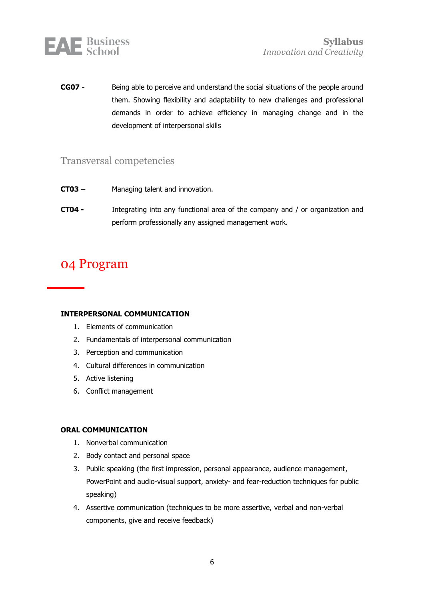

**CG07 -** Being able to perceive and understand the social situations of the people around them. Showing flexibility and adaptability to new challenges and professional demands in order to achieve efficiency in managing change and in the development of interpersonal skills

#### Transversal competencies

- **CT03 –** Managing talent and innovation.
- **CT04 -** Integrating into any functional area of the company and / or organization and perform professionally any assigned management work.

## <span id="page-5-0"></span>04 Program

#### **INTERPERSONAL COMMUNICATION**

- 1. Elements of communication
- 2. Fundamentals of interpersonal communication
- 3. Perception and communication
- 4. Cultural differences in communication
- 5. Active listening
- 6. Conflict management

#### **ORAL COMMUNICATION**

- 1. Nonverbal communication
- 2. Body contact and personal space
- 3. Public speaking (the first impression, personal appearance, audience management, PowerPoint and audio-visual support, anxiety- and fear-reduction techniques for public speaking)
- 4. Assertive communication (techniques to be more assertive, verbal and non-verbal components, give and receive feedback)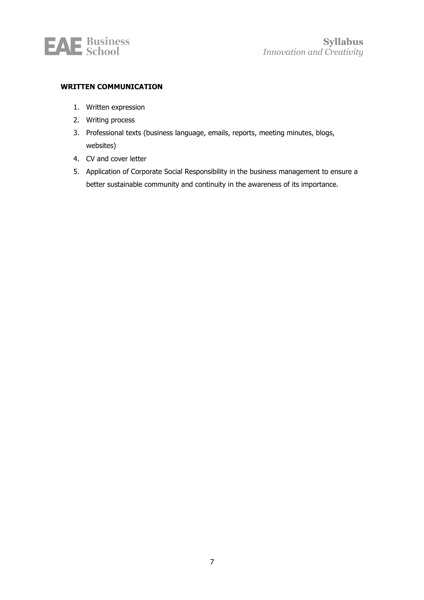

#### **WRITTEN COMMUNICATION**

- 1. Written expression
- 2. Writing process
- 3. Professional texts (business language, emails, reports, meeting minutes, blogs, websites)
- 4. CV and cover letter
- 5. Application of Corporate Social Responsibility in the business management to ensure a better sustainable community and continuity in the awareness of its importance.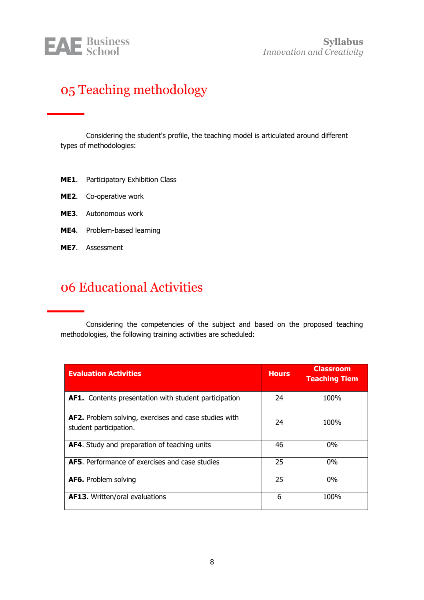

# <span id="page-7-0"></span>05 Teaching methodology

Considering the student's profile, the teaching model is articulated around different types of methodologies:

- **ME1**. Participatory Exhibition Class
- **ME2**. Co-operative work
- **ME3**. Autonomous work
- **ME4**. Problem-based learning
- **ME7**. Assessment

## <span id="page-7-1"></span>06 Educational Activities

Considering the competencies of the subject and based on the proposed teaching methodologies, the following training activities are scheduled:

| <b>Evaluation Activities</b>                                                    | <b>Hours</b> | <b>Classroom</b><br><b>Teaching Tiem</b> |
|---------------------------------------------------------------------------------|--------------|------------------------------------------|
| AF1. Contents presentation with student participation                           | 24           | 100%                                     |
| AF2. Problem solving, exercises and case studies with<br>student participation. | 24           | 100%                                     |
| AF4. Study and preparation of teaching units                                    | 46           | $0\%$                                    |
| <b>AF5.</b> Performance of exercises and case studies                           | 25           | $0\%$                                    |
| <b>AF6.</b> Problem solving                                                     | 25           | $0\%$                                    |
| <b>AF13.</b> Written/oral evaluations                                           | 6            | 100%                                     |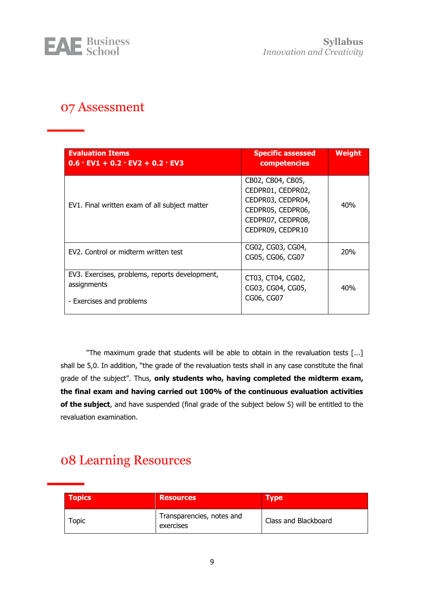

**Syllabus** *Innovation and Creativity*

## <span id="page-8-0"></span>07 Assessment

| <b>Evaluation Items</b><br>$0.6$ · EV1 + 0.2 · EV2 + 0.2 · EV3                            | <b>Specific assessed</b><br>competencies                                                                                  | <b>Weight</b>   |
|-------------------------------------------------------------------------------------------|---------------------------------------------------------------------------------------------------------------------------|-----------------|
| EV1. Final written exam of all subject matter                                             | CB02, CB04, CB05,<br>CEDPR01, CEDPR02,<br>CEDPR03, CEDPR04,<br>CEDPR05, CEDPR06,<br>CEDPR07, CEDPR08,<br>CEDPR09, CEDPR10 | 40%             |
| EV2. Control or midterm written test                                                      | CG02, CG03, CG04,<br>CG05, CG06, CG07                                                                                     | 20 <sub>%</sub> |
| EV3. Exercises, problems, reports development,<br>assignments<br>- Exercises and problems | CT03, CT04, CG02,<br>CG03, CG04, CG05,<br>CG06, CG07                                                                      | 40%             |

"The maximum grade that students will be able to obtain in the revaluation tests [...] shall be 5,0. In addition, "the grade of the revaluation tests shall in any case constitute the final grade of the subject". Thus, **only students who, having completed the midterm exam, the final exam and having carried out 100% of the continuous evaluation activities of the subject**, and have suspended (final grade of the subject below 5) will be entitled to the revaluation examination.

## <span id="page-8-1"></span>08 Learning Resources

| <b>Topics</b> | <b>Resources</b>                       | <b>Type</b>          |
|---------------|----------------------------------------|----------------------|
| <b>Topic</b>  | Transparencies, notes and<br>exercises | Class and Blackboard |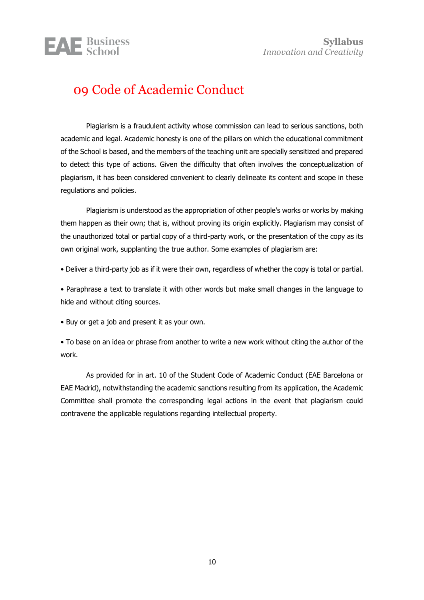# **EAE** Business

# <span id="page-9-0"></span>09 Code of Academic Conduct

Plagiarism is a fraudulent activity whose commission can lead to serious sanctions, both academic and legal. Academic honesty is one of the pillars on which the educational commitment of the School is based, and the members of the teaching unit are specially sensitized and prepared to detect this type of actions. Given the difficulty that often involves the conceptualization of plagiarism, it has been considered convenient to clearly delineate its content and scope in these regulations and policies.

Plagiarism is understood as the appropriation of other people's works or works by making them happen as their own; that is, without proving its origin explicitly. Plagiarism may consist of the unauthorized total or partial copy of a third-party work, or the presentation of the copy as its own original work, supplanting the true author. Some examples of plagiarism are:

• Deliver a third-party job as if it were their own, regardless of whether the copy is total or partial.

• Paraphrase a text to translate it with other words but make small changes in the language to hide and without citing sources.

• Buy or get a job and present it as your own.

• To base on an idea or phrase from another to write a new work without citing the author of the work.

As provided for in art. 10 of the Student Code of Academic Conduct (EAE Barcelona or EAE Madrid), notwithstanding the academic sanctions resulting from its application, the Academic Committee shall promote the corresponding legal actions in the event that plagiarism could contravene the applicable regulations regarding intellectual property.